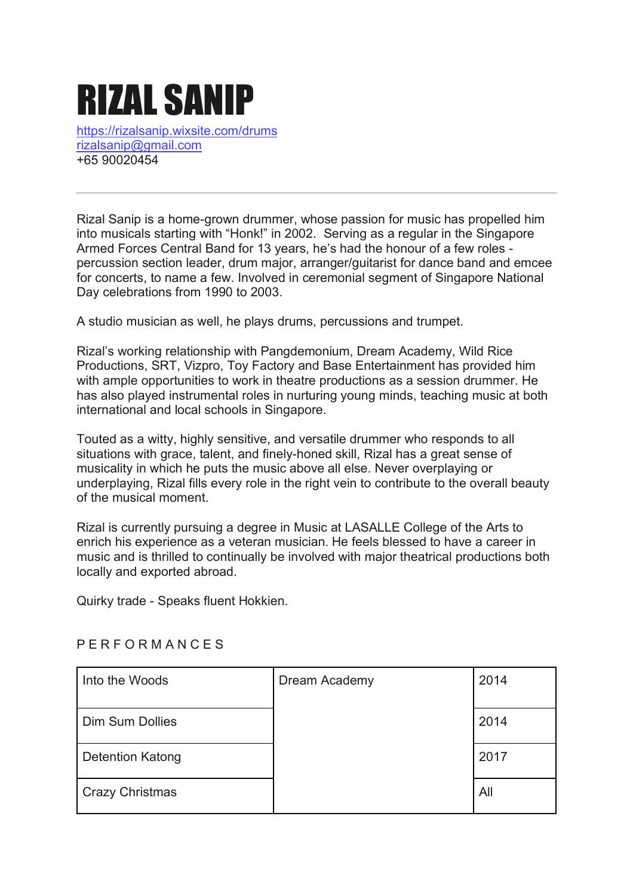# RIZAL SANIP

https://rizalsanip.wixsite.com/drums rizalsanip@gmail.com +65 90020454

Rizal Sanip is a home-grown drummer, whose passion for music has propelled him into musicals starting with "Honk!" in 2002. Serving as a regular in the Singapore Armed Forces Central Band for 13 years, he's had the honour of a few roles percussion section leader, drum major, arranger/guitarist for dance band and emcee for concerts, to name a few. Involved in ceremonial segment of Singapore National Day celebrations from 1990 to 2003.

A studio musician as well, he plays drums, percussions and trumpet.

Rizal's working relationship with Pangdemonium, Dream Academy, Wild Rice Productions, SRT, Vizpro, Toy Factory and Base Entertainment has provided him with ample opportunities to work in theatre productions as a session drummer. He has also played instrumental roles in nurturing young minds, teaching music at both international and local schools in Singapore.

Touted as a witty, highly sensitive, and versatile drummer who responds to all situations with grace, talent, and finely-honed skill, Rizal has a great sense of musicality in which he puts the music above all else. Never overplaying or underplaying, Rizal fills every role in the right vein to contribute to the overall beauty of the musical moment.

Rizal is currently pursuing a degree in Music at LASALLE College of the Arts to enrich his experience as a veteran musician. He feels blessed to have a career in music and is thrilled to continually be involved with major theatrical productions both locally and exported abroad.

Quirky trade - Speaks fluent Hokkien.

| Into the Woods          | Dream Academy | 2014 |
|-------------------------|---------------|------|
| <b>Dim Sum Dollies</b>  |               | 2014 |
| <b>Detention Katong</b> |               | 2017 |
| <b>Crazy Christmas</b>  |               | All  |

# P E R F O R M A N C E S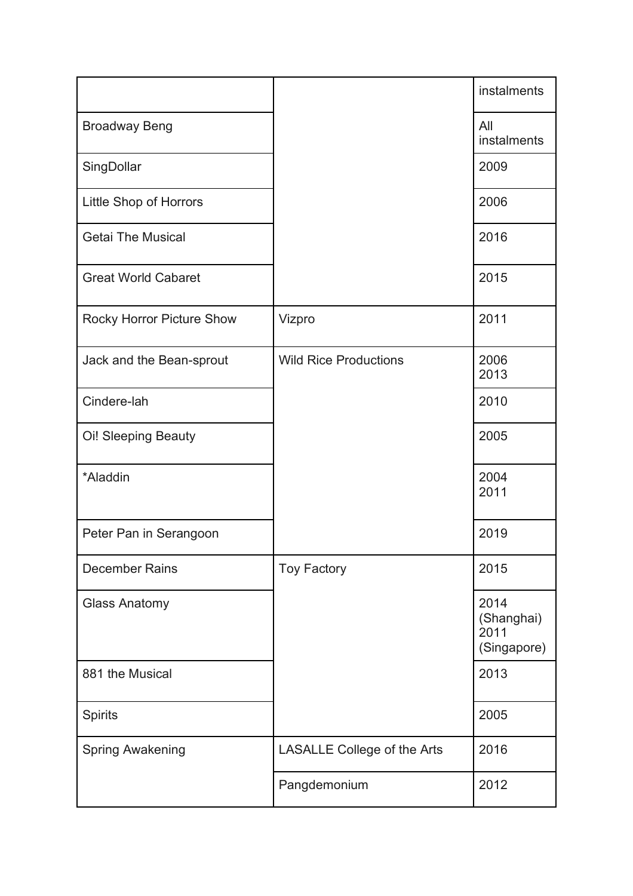|                            |                                    | instalments                               |
|----------------------------|------------------------------------|-------------------------------------------|
| <b>Broadway Beng</b>       |                                    | All<br>instalments                        |
| SingDollar                 |                                    | 2009                                      |
| Little Shop of Horrors     |                                    | 2006                                      |
| <b>Getai The Musical</b>   |                                    | 2016                                      |
| <b>Great World Cabaret</b> |                                    | 2015                                      |
| Rocky Horror Picture Show  | Vizpro                             | 2011                                      |
| Jack and the Bean-sprout   | <b>Wild Rice Productions</b>       | 2006<br>2013                              |
| Cindere-lah                |                                    | 2010                                      |
| Oi! Sleeping Beauty        |                                    | 2005                                      |
| *Aladdin                   |                                    | 2004<br>2011                              |
| Peter Pan in Serangoon     |                                    | 2019                                      |
| <b>December Rains</b>      | <b>Toy Factory</b>                 | 2015                                      |
| <b>Glass Anatomy</b>       |                                    | 2014<br>(Shanghai)<br>2011<br>(Singapore) |
| 881 the Musical            |                                    | 2013                                      |
| <b>Spirits</b>             |                                    | 2005                                      |
| <b>Spring Awakening</b>    | <b>LASALLE College of the Arts</b> | 2016                                      |
|                            | Pangdemonium                       | 2012                                      |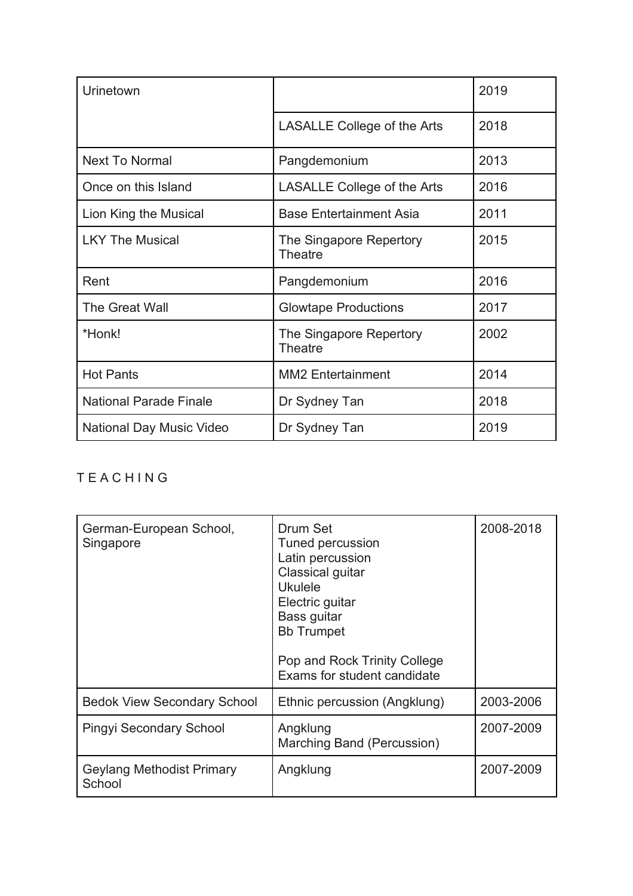| Urinetown                     |                                           | 2019 |
|-------------------------------|-------------------------------------------|------|
|                               | <b>LASALLE College of the Arts</b>        | 2018 |
| <b>Next To Normal</b>         | Pangdemonium                              | 2013 |
| Once on this Island           | <b>LASALLE College of the Arts</b>        | 2016 |
| Lion King the Musical         | <b>Base Entertainment Asia</b>            | 2011 |
| <b>LKY The Musical</b>        | The Singapore Repertory<br><b>Theatre</b> | 2015 |
| Rent                          | Pangdemonium                              | 2016 |
| The Great Wall                | <b>Glowtape Productions</b>               | 2017 |
| *Honk!                        | The Singapore Repertory<br><b>Theatre</b> | 2002 |
| <b>Hot Pants</b>              | <b>MM2</b> Entertainment                  | 2014 |
| <b>National Parade Finale</b> | Dr Sydney Tan                             | 2018 |
| National Day Music Video      | Dr Sydney Tan                             | 2019 |

# T E A C H I N G

| German-European School,<br>Singapore | Drum Set<br>Tuned percussion<br>Latin percussion<br>Classical guitar<br><b>Ukulele</b><br>Electric guitar<br>Bass guitar<br><b>Bb Trumpet</b><br>Pop and Rock Trinity College<br>Exams for student candidate | 2008-2018 |
|--------------------------------------|--------------------------------------------------------------------------------------------------------------------------------------------------------------------------------------------------------------|-----------|
| <b>Bedok View Secondary School</b>   | Ethnic percussion (Angklung)                                                                                                                                                                                 | 2003-2006 |
| <b>Pingyi Secondary School</b>       | Angklung<br>Marching Band (Percussion)                                                                                                                                                                       | 2007-2009 |
| Geylang Methodist Primary<br>School  | Angklung                                                                                                                                                                                                     | 2007-2009 |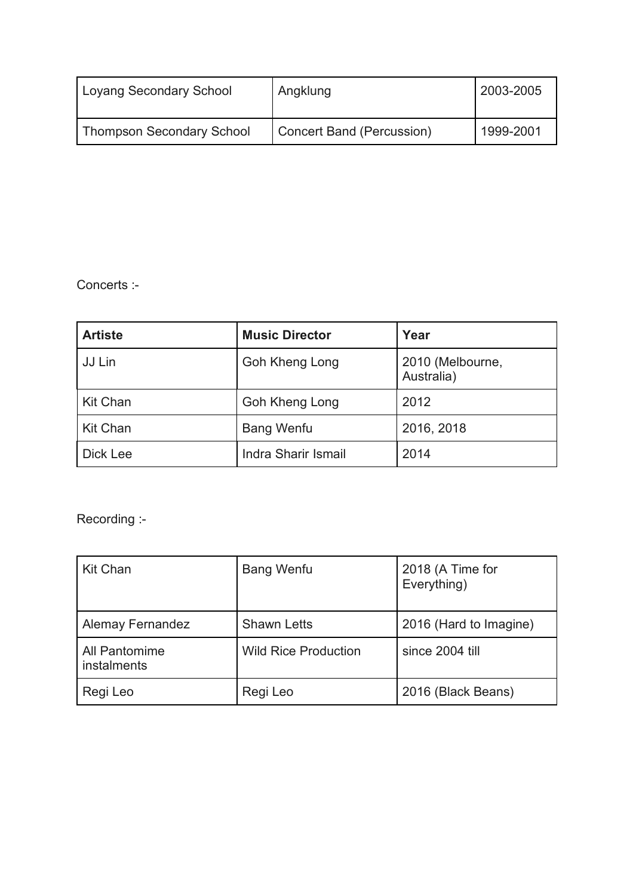| <b>Loyang Secondary School</b> | Angklung                  | 2003-2005 |
|--------------------------------|---------------------------|-----------|
| Thompson Secondary School      | Concert Band (Percussion) | 1999-2001 |

Concerts :-

| <b>Artiste</b>  | <b>Music Director</b> | Year                           |
|-----------------|-----------------------|--------------------------------|
| JJ Lin          | Goh Kheng Long        | 2010 (Melbourne,<br>Australia) |
| <b>Kit Chan</b> | Goh Kheng Long        | 2012                           |
| <b>Kit Chan</b> | <b>Bang Wenfu</b>     | 2016, 2018                     |
| <b>Dick Lee</b> | Indra Sharir Ismail   | 2014                           |

Recording :-

| <b>Kit Chan</b>              | <b>Bang Wenfu</b>           | 2018 (A Time for<br>Everything) |
|------------------------------|-----------------------------|---------------------------------|
| <b>Alemay Fernandez</b>      | <b>Shawn Letts</b>          | 2016 (Hard to Imagine)          |
| All Pantomime<br>instalments | <b>Wild Rice Production</b> | since 2004 till                 |
| Regi Leo                     | Regi Leo                    | 2016 (Black Beans)              |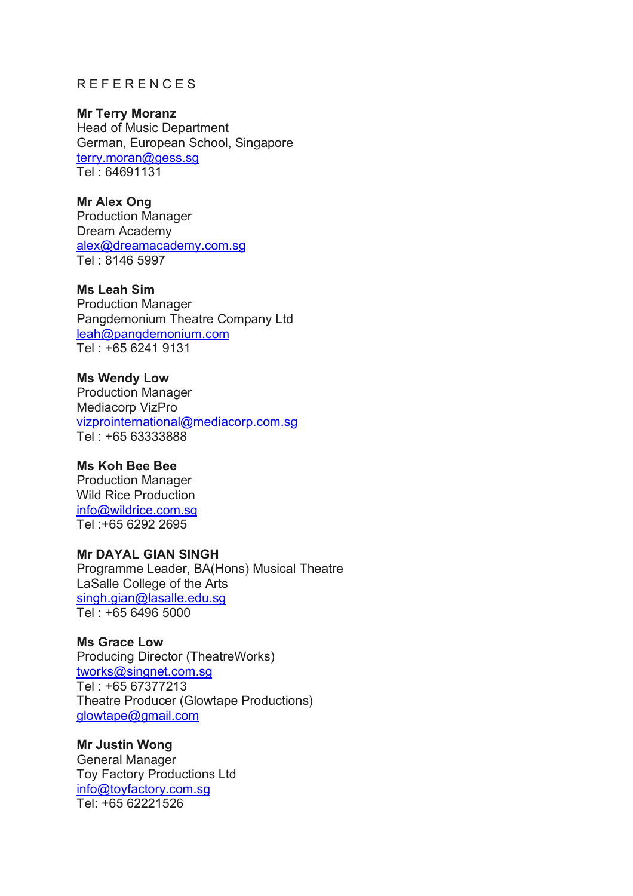### R E F E R E N C E S

#### **Mr Terry Moranz**

Head of Music Department German, European School, Singapore terry.moran@gess.sg Tel : 64691131

#### **Mr Alex Ong**

Production Manager Dream Academy alex@dreamacademy.com.sg Tel : 8146 5997

#### **Ms Leah Sim**

Production Manager Pangdemonium Theatre Company Ltd leah@pangdemonium.com Tel : +65 6241 9131

#### **Ms Wendy Low**  Production Manager Mediacorp VizPro vizprointernational@mediacorp.com.sg

Tel : +65 63333888

# **Ms Koh Bee Bee**

Production Manager Wild Rice Production info@wildrice.com.sg Tel :+65 6292 2695

# **Mr DAYAL GIAN SINGH**

Programme Leader, BA(Hons) Musical Theatre LaSalle College of the Arts singh.gian@lasalle.edu.sg Tel : +65 6496 5000

#### **Ms Grace Low**

Producing Director (TheatreWorks) tworks@singnet.com.sg Tel : +65 67377213 Theatre Producer (Glowtape Productions) glowtape@gmail.com

#### **Mr Justin Wong**

General Manager Toy Factory Productions Ltd info@toyfactory.com.sg Tel: +65 62221526